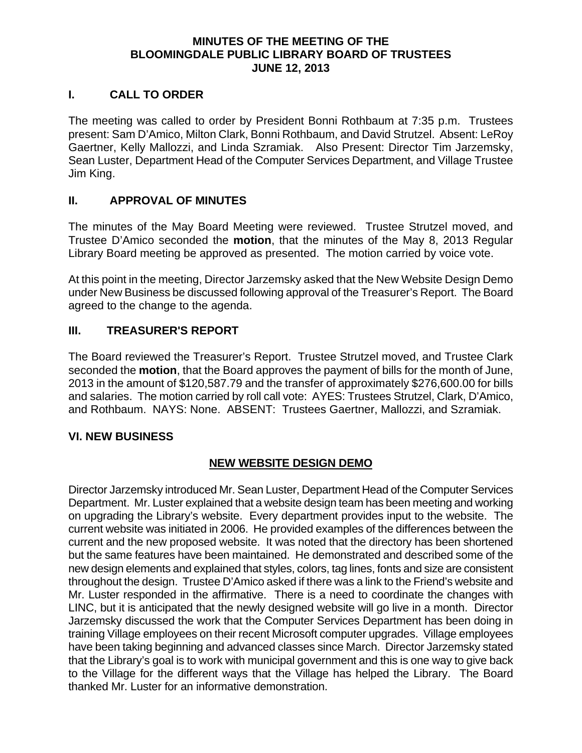#### **MINUTES OF THE MEETING OF THE BLOOMINGDALE PUBLIC LIBRARY BOARD OF TRUSTEES JUNE 12, 2013**

#### **I. CALL TO ORDER**

The meeting was called to order by President Bonni Rothbaum at 7:35 p.m. Trustees present: Sam D'Amico, Milton Clark, Bonni Rothbaum, and David Strutzel. Absent: LeRoy Gaertner, Kelly Mallozzi, and Linda Szramiak. Also Present: Director Tim Jarzemsky, Sean Luster, Department Head of the Computer Services Department, and Village Trustee Jim King.

#### **II. APPROVAL OF MINUTES**

The minutes of the May Board Meeting were reviewed. Trustee Strutzel moved, and Trustee D'Amico seconded the **motion**, that the minutes of the May 8, 2013 Regular Library Board meeting be approved as presented. The motion carried by voice vote.

At this point in the meeting, Director Jarzemsky asked that the New Website Design Demo under New Business be discussed following approval of the Treasurer's Report. The Board agreed to the change to the agenda.

### **III. TREASURER'S REPORT**

The Board reviewed the Treasurer's Report. Trustee Strutzel moved, and Trustee Clark seconded the **motion**, that the Board approves the payment of bills for the month of June, 2013 in the amount of \$120,587.79 and the transfer of approximately \$276,600.00 for bills and salaries. The motion carried by roll call vote: AYES: Trustees Strutzel, Clark, D'Amico, and Rothbaum. NAYS: None. ABSENT: Trustees Gaertner, Mallozzi, and Szramiak.

#### **VI. NEW BUSINESS**

## **NEW WEBSITE DESIGN DEMO**

Director Jarzemsky introduced Mr. Sean Luster, Department Head of the Computer Services Department. Mr. Luster explained that a website design team has been meeting and working on upgrading the Library's website. Every department provides input to the website. The current website was initiated in 2006. He provided examples of the differences between the current and the new proposed website. It was noted that the directory has been shortened but the same features have been maintained. He demonstrated and described some of the new design elements and explained that styles, colors, tag lines, fonts and size are consistent throughout the design. Trustee D'Amico asked if there was a link to the Friend's website and Mr. Luster responded in the affirmative. There is a need to coordinate the changes with LINC, but it is anticipated that the newly designed website will go live in a month. Director Jarzemsky discussed the work that the Computer Services Department has been doing in training Village employees on their recent Microsoft computer upgrades. Village employees have been taking beginning and advanced classes since March. Director Jarzemsky stated that the Library's goal is to work with municipal government and this is one way to give back to the Village for the different ways that the Village has helped the Library. The Board thanked Mr. Luster for an informative demonstration.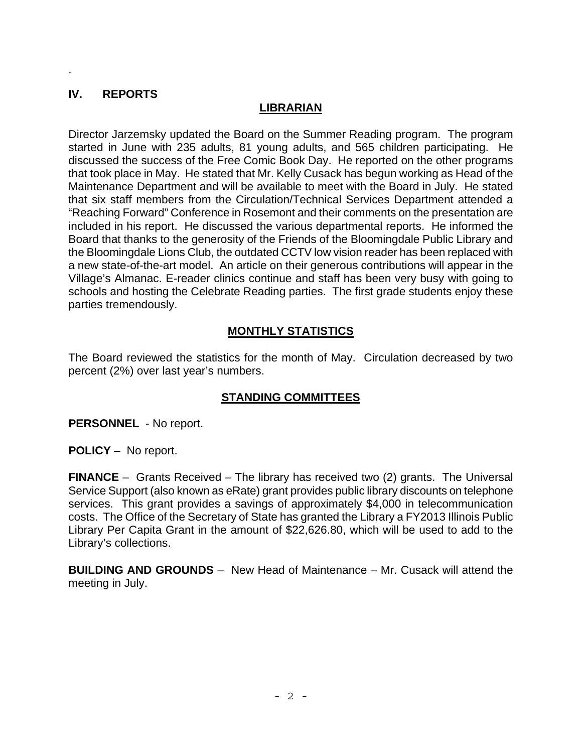# **IV. REPORTS**

.

## **LIBRARIAN**

Director Jarzemsky updated the Board on the Summer Reading program. The program started in June with 235 adults, 81 young adults, and 565 children participating. He discussed the success of the Free Comic Book Day. He reported on the other programs that took place in May. He stated that Mr. Kelly Cusack has begun working as Head of the Maintenance Department and will be available to meet with the Board in July. He stated that six staff members from the Circulation/Technical Services Department attended a "Reaching Forward" Conference in Rosemont and their comments on the presentation are included in his report. He discussed the various departmental reports. He informed the Board that thanks to the generosity of the Friends of the Bloomingdale Public Library and the Bloomingdale Lions Club, the outdated CCTV low vision reader has been replaced with a new state-of-the-art model. An article on their generous contributions will appear in the Village's Almanac. E-reader clinics continue and staff has been very busy with going to schools and hosting the Celebrate Reading parties. The first grade students enjoy these parties tremendously.

# **MONTHLY STATISTICS**

The Board reviewed the statistics for the month of May. Circulation decreased by two percent (2%) over last year's numbers.

## **STANDING COMMITTEES**

**PERSONNEL** - No report.

**POLICY** – No report.

**FINANCE** – Grants Received – The library has received two (2) grants. The Universal Service Support (also known as eRate) grant provides public library discounts on telephone services. This grant provides a savings of approximately \$4,000 in telecommunication costs. The Office of the Secretary of State has granted the Library a FY2013 Illinois Public Library Per Capita Grant in the amount of \$22,626.80, which will be used to add to the Library's collections.

**BUILDING AND GROUNDS** – New Head of Maintenance – Mr. Cusack will attend the meeting in July.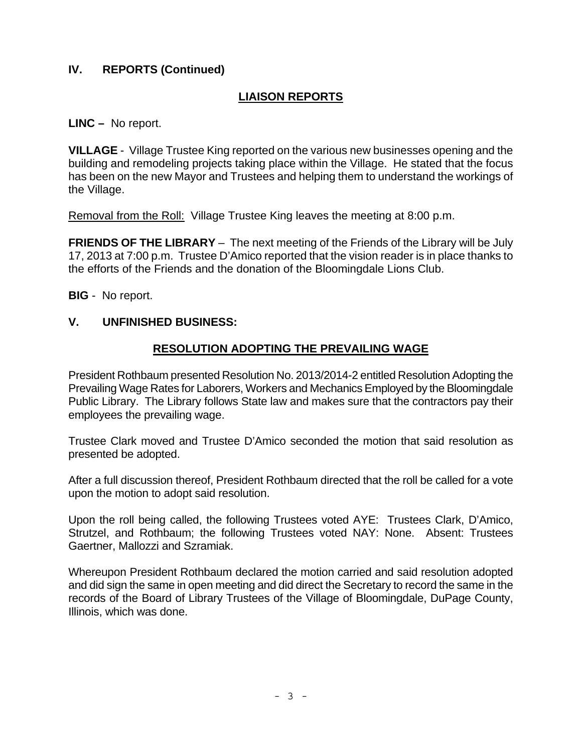# **IV. REPORTS (Continued)**

# **LIAISON REPORTS**

**LINC –** No report.

**VILLAGE** - Village Trustee King reported on the various new businesses opening and the building and remodeling projects taking place within the Village. He stated that the focus has been on the new Mayor and Trustees and helping them to understand the workings of the Village.

Removal from the Roll: Village Trustee King leaves the meeting at 8:00 p.m.

**FRIENDS OF THE LIBRARY** – The next meeting of the Friends of the Library will be July 17, 2013 at 7:00 p.m. Trustee D'Amico reported that the vision reader is in place thanks to the efforts of the Friends and the donation of the Bloomingdale Lions Club.

**BIG** - No report.

## **V. UNFINISHED BUSINESS:**

## **RESOLUTION ADOPTING THE PREVAILING WAGE**

President Rothbaum presented Resolution No. 2013/2014-2 entitled Resolution Adopting the Prevailing Wage Rates for Laborers, Workers and Mechanics Employed by the Bloomingdale Public Library. The Library follows State law and makes sure that the contractors pay their employees the prevailing wage.

Trustee Clark moved and Trustee D'Amico seconded the motion that said resolution as presented be adopted.

After a full discussion thereof, President Rothbaum directed that the roll be called for a vote upon the motion to adopt said resolution.

Upon the roll being called, the following Trustees voted AYE: Trustees Clark, D'Amico, Strutzel, and Rothbaum; the following Trustees voted NAY: None. Absent: Trustees Gaertner, Mallozzi and Szramiak.

Whereupon President Rothbaum declared the motion carried and said resolution adopted and did sign the same in open meeting and did direct the Secretary to record the same in the records of the Board of Library Trustees of the Village of Bloomingdale, DuPage County, Illinois, which was done.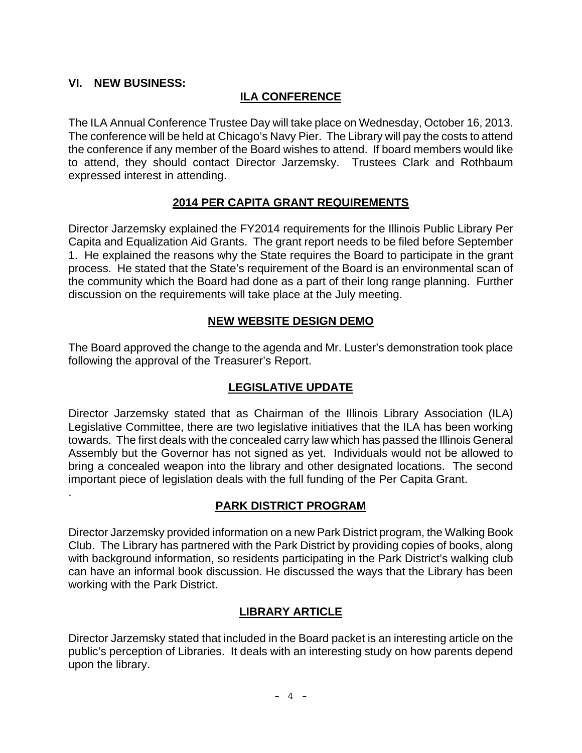# **VI. NEW BUSINESS:**

.

# **ILA CONFERENCE**

The ILA Annual Conference Trustee Day will take place on Wednesday, October 16, 2013. The conference will be held at Chicago's Navy Pier. The Library will pay the costs to attend the conference if any member of the Board wishes to attend. If board members would like to attend, they should contact Director Jarzemsky. Trustees Clark and Rothbaum expressed interest in attending.

## **2014 PER CAPITA GRANT REQUIREMENTS**

Director Jarzemsky explained the FY2014 requirements for the Illinois Public Library Per Capita and Equalization Aid Grants. The grant report needs to be filed before September 1. He explained the reasons why the State requires the Board to participate in the grant process. He stated that the State's requirement of the Board is an environmental scan of the community which the Board had done as a part of their long range planning. Further discussion on the requirements will take place at the July meeting.

### **NEW WEBSITE DESIGN DEMO**

The Board approved the change to the agenda and Mr. Luster's demonstration took place following the approval of the Treasurer's Report.

## **LEGISLATIVE UPDATE**

Director Jarzemsky stated that as Chairman of the Illinois Library Association (ILA) Legislative Committee, there are two legislative initiatives that the ILA has been working towards. The first deals with the concealed carry law which has passed the Illinois General Assembly but the Governor has not signed as yet. Individuals would not be allowed to bring a concealed weapon into the library and other designated locations. The second important piece of legislation deals with the full funding of the Per Capita Grant.

## **PARK DISTRICT PROGRAM**

Director Jarzemsky provided information on a new Park District program, the Walking Book Club. The Library has partnered with the Park District by providing copies of books, along with background information, so residents participating in the Park District's walking club can have an informal book discussion. He discussed the ways that the Library has been working with the Park District.

## **LIBRARY ARTICLE**

Director Jarzemsky stated that included in the Board packet is an interesting article on the public's perception of Libraries. It deals with an interesting study on how parents depend upon the library.